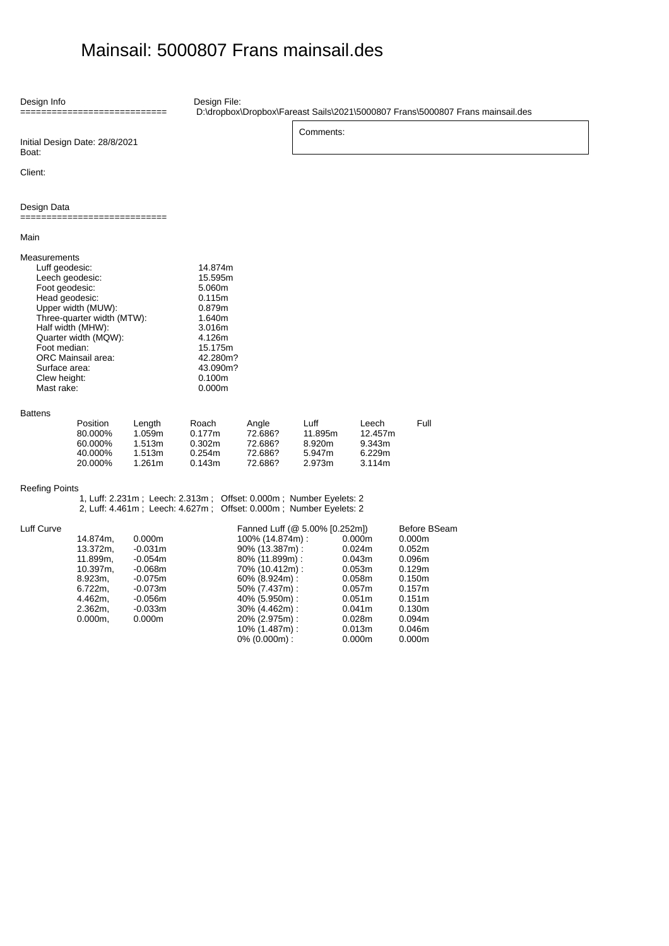## Mainsail: 5000807 Frans mainsail.des

Design Info =========================== Initial Design Date: 28/8/2021 Boat: Client: Design File: D:\dropbox\Dropbox\Fareast Sails\2021\5000807 Frans\5000807 Frans mainsail.des Comments: Design Data ============================ Main Measurements Luff geodesic: 14.874m<br>Leech geodesic: 15.595m Leech geodesic: 15.595m<br>
Foot geodesic: 15.595m Foot geodesic: 5.060m<br>
Head geodesic: 6.115m Head geodesic: Upper width (MUW): 0.879m<br>Three-quarter width (MTW): 0.640m Three-quarter width (MTW): 1.640m<br>
Half width (MHW): 3.016m Half width (MHW):  $\qquad \qquad 3.016$ m<br>Quarter width (MQW):  $\qquad \qquad 4.126$ m Quarter width (MQW): Foot median:  $\frac{1}{2}$  15.175m ORC Mainsail area: 42.280m? Surface area:  $43.090$ m?<br>Clew height: 0.100m Clew height: 0.100m<br>
Mast rake: 0.000m Mast rake: Battens Position Length Roach Angle Luff Leech Full 80.000% 1.059m 0.177m 72.686? 11.895m 12.457m 60.000% 1.513m 0.302m 72.686? 8.920m 9.343m 40.000% 1.513m 0.254m 72.686? 5.947m 6.229m 20.000% Reefing Points 1, Luff: 2.231m ; Leech: 2.313m ; Offset: 0.000m ; Number Eyelets: 2 2, Luff: 4.461m ; Leech: 4.627m ; Offset: 0.000m ; Number Eyelets: 2 Luff Curve 14.874m, 0.000m 13.372m, -0.031m<br>11.899m, -0.054m 11.899m, -0.054m<br>10.397m. -0.068m  $10.397m,$ 8.923m, -0.075m<br>6.722m, -0.073m 6.722m, -0.073m<br>4.462m, -0.056m -0.056m<br>-0.033m 2.362m, -0.033m<br>0.000m, 0.000m  $0.000m$ , Fanned Luff (@ 5.00% [0.252m]) Before BSeam<br>100% (14.874m) : 0.000m 0.000m 100% (14.874m) : 0.000m 0.000m<br>90% (13.387m) : 0.024m 0.052m 90% (13.387m) : 0.024m 0.052m 80% (11.899m) : 0.043m 0.096m 70% (10.412m) : 0.053m<br>60% (8.924m) : 0.058m 60% (8.924m) : 0.058m 0.150m 50% (7.437m) : 0.057m 0.157m 40% (5.950m) : 0.051m 0.151m 30% (4.462m) : 0.041m 0.130m 20% (2.975m) : 10% (1.487m) : 0.013m 0.046m 0% (0.000m) : 0.000m 0.000m